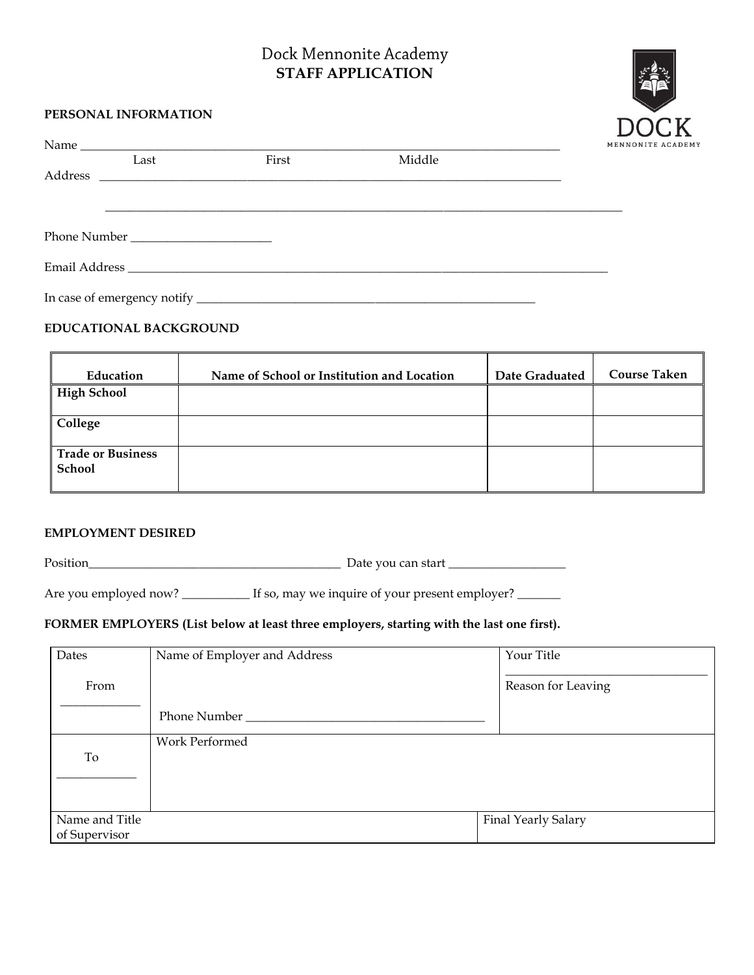# Dock Mennonite Academy **STAFF APPLICATION**



### **PERSONAL INFORMATION**

|      |       |        | MENNONITE ACAD |
|------|-------|--------|----------------|
| Last | First | Middle |                |
|      |       |        |                |
|      |       |        |                |
|      |       |        |                |
|      |       |        |                |
|      |       |        |                |
|      |       |        |                |

#### **EDUCATIONAL BACKGROUND**

| Education                          | Name of School or Institution and Location | Date Graduated | <b>Course Taken</b> |
|------------------------------------|--------------------------------------------|----------------|---------------------|
| High School                        |                                            |                |                     |
| College                            |                                            |                |                     |
| Trade or Business<br><b>School</b> |                                            |                |                     |

#### **EMPLOYMENT DESIRED**

Position\_\_\_\_\_\_\_\_\_\_\_\_\_\_\_\_\_\_\_\_\_\_\_\_\_\_\_\_\_\_\_\_\_\_\_\_\_\_\_\_\_ Date you can start \_\_\_\_\_\_\_\_\_\_\_\_\_\_\_\_\_\_\_

Are you employed now? \_\_\_\_\_\_\_\_\_\_\_ If so, may we inquire of your present employer? \_\_\_\_\_\_\_

### **FORMER EMPLOYERS (List below at least three employers, starting with the last one first).**

| Dates          | Name of Employer and Address | Your Title          |
|----------------|------------------------------|---------------------|
| From           |                              | Reason for Leaving  |
|                | Phone Number                 |                     |
| To             | Work Performed               |                     |
|                |                              |                     |
|                |                              |                     |
| Name and Title |                              | Final Yearly Salary |
| of Supervisor  |                              |                     |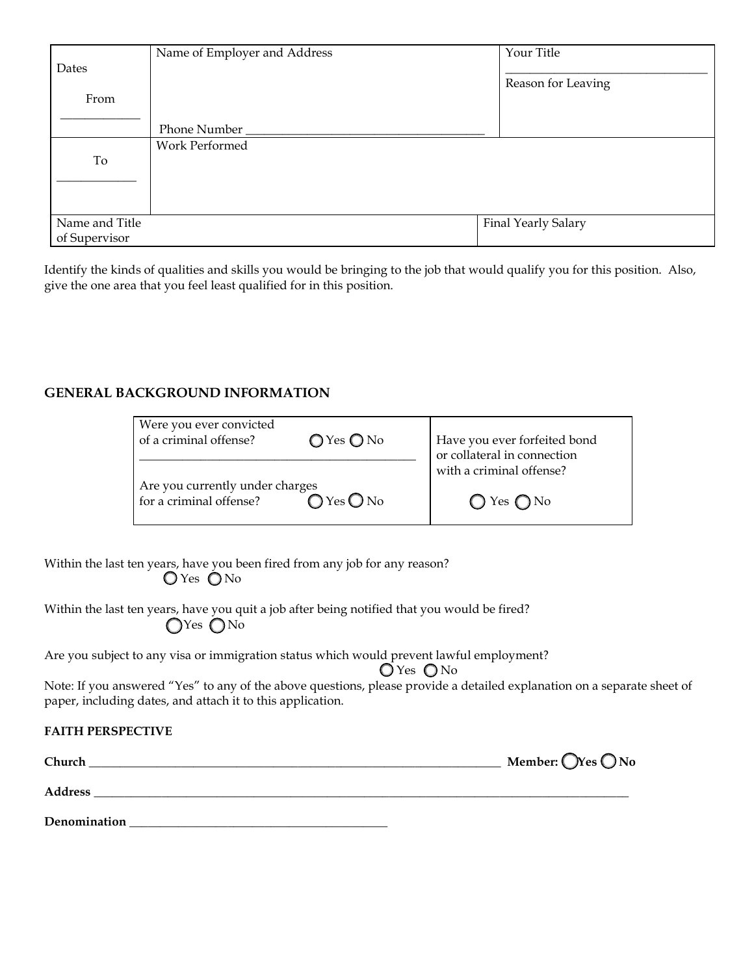|                | Name of Employer and Address | Your Title          |
|----------------|------------------------------|---------------------|
| Dates          |                              |                     |
| From           |                              | Reason for Leaving  |
|                |                              |                     |
|                | Phone Number                 |                     |
|                | Work Performed               |                     |
| To             |                              |                     |
|                |                              |                     |
|                |                              |                     |
| Name and Title |                              | Final Yearly Salary |
| of Supervisor  |                              |                     |

Identify the kinds of qualities and skills you would be bringing to the job that would qualify you for this position. Also, give the one area that you feel least qualified for in this position.

### **GENERAL BACKGROUND INFORMATION**

| Were you ever convicted<br>of a criminal offense?          | $\bigcirc$ Yes $\bigcirc$ No | Have you ever forfeited bond<br>or collateral in connection |
|------------------------------------------------------------|------------------------------|-------------------------------------------------------------|
| Are you currently under charges<br>for a criminal offense? | $O$ Yes $O$ No               | with a criminal offense?                                    |
|                                                            |                              | $\bigcirc$ Yes $\bigcirc$ No                                |

Within the last ten years, have you been fired from any job for any reason?  $O$  Yes  $O$  No

Within the last ten years, have you quit a job after being notified that you would be fired? OYes ONo

Are you subject to any visa or immigration status which would prevent lawful employment?

 $Q$ Yes  $Q$ No

Note: If you answered "Yes" to any of the above questions, please provide a detailed explanation on a separate sheet of paper, including dates, and attach it to this application.

## **FAITH PERSPECTIVE**

| Church       | Member: $\bigcirc$ Yes $\bigcirc$ No |
|--------------|--------------------------------------|
| Address      |                                      |
| Denomination |                                      |